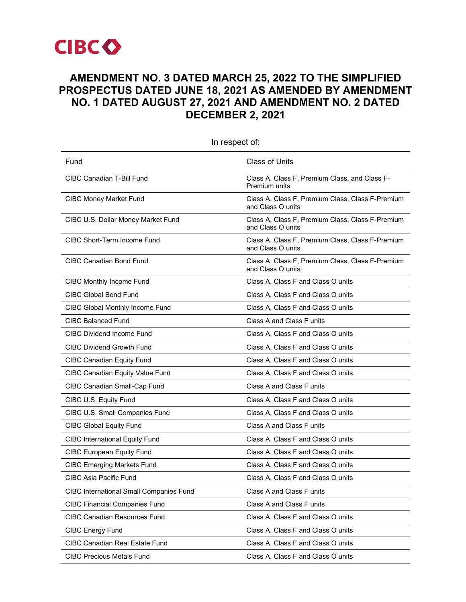

# **AMENDMENT NO. 3 DATED MARCH 25, 2022 TO THE SIMPLIFIED PROSPECTUS DATED JUNE 18, 2021 AS AMENDED BY AMENDMENT NO. 1 DATED AUGUST 27, 2021 AND AMENDMENT NO. 2 DATED DECEMBER 2, 2021**

| Fund                                    | <b>Class of Units</b>                                                 |
|-----------------------------------------|-----------------------------------------------------------------------|
| CIBC Canadian T-Bill Fund               | Class A, Class F, Premium Class, and Class F-<br>Premium units        |
| <b>CIBC Money Market Fund</b>           | Class A, Class F, Premium Class, Class F-Premium<br>and Class O units |
| CIBC U.S. Dollar Money Market Fund      | Class A, Class F, Premium Class, Class F-Premium<br>and Class O units |
| <b>CIBC Short-Term Income Fund</b>      | Class A, Class F, Premium Class, Class F-Premium<br>and Class O units |
| <b>CIBC Canadian Bond Fund</b>          | Class A, Class F, Premium Class, Class F-Premium<br>and Class O units |
| CIBC Monthly Income Fund                | Class A, Class F and Class O units                                    |
| <b>CIBC Global Bond Fund</b>            | Class A, Class F and Class O units                                    |
| CIBC Global Monthly Income Fund         | Class A, Class F and Class O units                                    |
| <b>CIBC Balanced Fund</b>               | Class A and Class F units                                             |
| <b>CIBC Dividend Income Fund</b>        | Class A, Class F and Class O units                                    |
| <b>CIBC Dividend Growth Fund</b>        | Class A, Class F and Class O units                                    |
| <b>CIBC Canadian Equity Fund</b>        | Class A, Class F and Class O units                                    |
| <b>CIBC Canadian Equity Value Fund</b>  | Class A, Class F and Class O units                                    |
| CIBC Canadian Small-Cap Fund            | Class A and Class F units                                             |
| CIBC U.S. Equity Fund                   | Class A, Class F and Class O units                                    |
| CIBC U.S. Small Companies Fund          | Class A, Class F and Class O units                                    |
| <b>CIBC Global Equity Fund</b>          | Class A and Class F units                                             |
| <b>CIBC International Equity Fund</b>   | Class A, Class F and Class O units                                    |
| <b>CIBC European Equity Fund</b>        | Class A, Class F and Class O units                                    |
| <b>CIBC Emerging Markets Fund</b>       | Class A, Class F and Class O units                                    |
| CIBC Asia Pacific Fund                  | Class A, Class F and Class O units                                    |
| CIBC International Small Companies Fund | Class A and Class F units                                             |
| <b>CIBC Financial Companies Fund</b>    | Class A and Class F units                                             |
| <b>CIBC Canadian Resources Fund</b>     | Class A, Class F and Class O units                                    |
| <b>CIBC Energy Fund</b>                 | Class A, Class F and Class O units                                    |
| <b>CIBC Canadian Real Estate Fund</b>   | Class A, Class F and Class O units                                    |
| <b>CIBC Precious Metals Fund</b>        | Class A, Class F and Class O units                                    |

In respect of: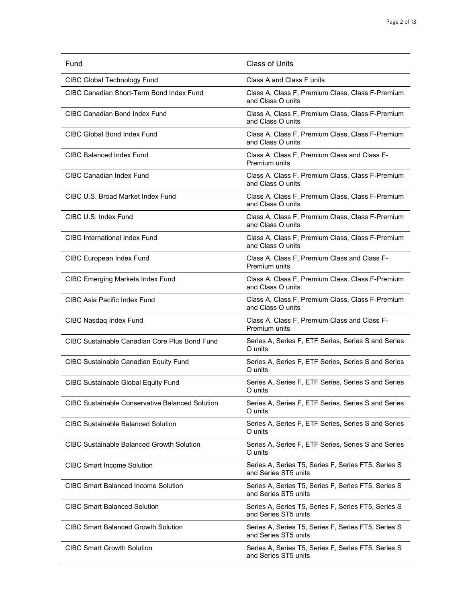| Fund                                                   | <b>Class of Units</b>                                                       |
|--------------------------------------------------------|-----------------------------------------------------------------------------|
| CIBC Global Technology Fund                            | Class A and Class F units                                                   |
| CIBC Canadian Short-Term Bond Index Fund               | Class A, Class F, Premium Class, Class F-Premium<br>and Class O units       |
| <b>CIBC Canadian Bond Index Fund</b>                   | Class A, Class F, Premium Class, Class F-Premium<br>and Class O units       |
| CIBC Global Bond Index Fund                            | Class A, Class F, Premium Class, Class F-Premium<br>and Class O units       |
| CIBC Balanced Index Fund                               | Class A, Class F, Premium Class and Class F-<br>Premium units               |
| <b>CIBC Canadian Index Fund</b>                        | Class A, Class F, Premium Class, Class F-Premium<br>and Class O units       |
| CIBC U.S. Broad Market Index Fund                      | Class A, Class F, Premium Class, Class F-Premium<br>and Class O units       |
| CIBC U.S. Index Fund                                   | Class A, Class F, Premium Class, Class F-Premium<br>and Class O units       |
| CIBC International Index Fund                          | Class A, Class F, Premium Class, Class F-Premium<br>and Class O units       |
| <b>CIBC European Index Fund</b>                        | Class A, Class F, Premium Class and Class F-<br>Premium units               |
| <b>CIBC Emerging Markets Index Fund</b>                | Class A, Class F, Premium Class, Class F-Premium<br>and Class O units       |
| <b>CIBC Asia Pacific Index Fund</b>                    | Class A, Class F, Premium Class, Class F-Premium<br>and Class O units       |
| CIBC Nasdaq Index Fund                                 | Class A, Class F, Premium Class and Class F-<br>Premium units               |
| CIBC Sustainable Canadian Core Plus Bond Fund          | Series A, Series F, ETF Series, Series S and Series<br>O units              |
| <b>CIBC Sustainable Canadian Equity Fund</b>           | Series A, Series F, ETF Series, Series S and Series<br>O units              |
| <b>CIBC Sustainable Global Equity Fund</b>             | Series A, Series F, ETF Series, Series S and Series<br>O units              |
| <b>CIBC Sustainable Conservative Balanced Solution</b> | Series A, Series F, ETF Series, Series S and Series<br>O units              |
| <b>CIBC Sustainable Balanced Solution</b>              | Series A, Series F, ETF Series, Series S and Series<br>O units              |
| CIBC Sustainable Balanced Growth Solution              | Series A, Series F, ETF Series, Series S and Series<br>O units              |
| <b>CIBC Smart Income Solution</b>                      | Series A, Series T5, Series F, Series FT5, Series S<br>and Series ST5 units |
| <b>CIBC Smart Balanced Income Solution</b>             | Series A, Series T5, Series F, Series FT5, Series S<br>and Series ST5 units |
| <b>CIBC Smart Balanced Solution</b>                    | Series A, Series T5, Series F, Series FT5, Series S<br>and Series ST5 units |
| <b>CIBC Smart Balanced Growth Solution</b>             | Series A, Series T5, Series F, Series FT5, Series S<br>and Series ST5 units |
| <b>CIBC Smart Growth Solution</b>                      | Series A, Series T5, Series F, Series FT5, Series S<br>and Series ST5 units |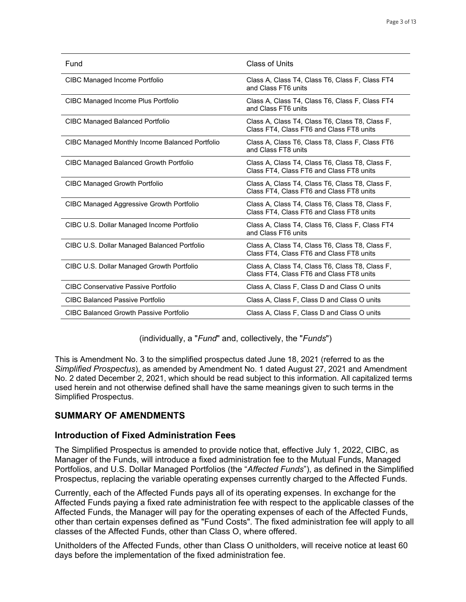| Fund                                           | Class of Units                                                                              |
|------------------------------------------------|---------------------------------------------------------------------------------------------|
| CIBC Managed Income Portfolio                  | Class A, Class T4, Class T6, Class F, Class FT4<br>and Class FT6 units                      |
| CIBC Managed Income Plus Portfolio             | Class A, Class T4, Class T6, Class F, Class FT4<br>and Class FT6 units                      |
| CIBC Managed Balanced Portfolio                | Class A, Class T4, Class T6, Class T8, Class F,<br>Class FT4, Class FT6 and Class FT8 units |
| CIBC Managed Monthly Income Balanced Portfolio | Class A, Class T6, Class T8, Class F, Class FT6<br>and Class FT8 units                      |
| <b>CIBC Managed Balanced Growth Portfolio</b>  | Class A, Class T4, Class T6, Class T8, Class F,<br>Class FT4, Class FT6 and Class FT8 units |
| CIBC Managed Growth Portfolio                  | Class A, Class T4, Class T6, Class T8, Class F,<br>Class FT4, Class FT6 and Class FT8 units |
| CIBC Managed Aggressive Growth Portfolio       | Class A, Class T4, Class T6, Class T8, Class F,<br>Class FT4, Class FT6 and Class FT8 units |
| CIBC U.S. Dollar Managed Income Portfolio      | Class A, Class T4, Class T6, Class F, Class FT4<br>and Class FT6 units                      |
| CIBC U.S. Dollar Managed Balanced Portfolio    | Class A, Class T4, Class T6, Class T8, Class F,<br>Class FT4, Class FT6 and Class FT8 units |
| CIBC U.S. Dollar Managed Growth Portfolio      | Class A, Class T4, Class T6, Class T8, Class F,<br>Class FT4, Class FT6 and Class FT8 units |
| <b>CIBC Conservative Passive Portfolio</b>     | Class A, Class F, Class D and Class O units                                                 |
| <b>CIBC Balanced Passive Portfolio</b>         | Class A, Class F, Class D and Class O units                                                 |
| CIBC Balanced Growth Passive Portfolio         | Class A, Class F, Class D and Class O units                                                 |

(individually, a "*Fund*" and, collectively, the "*Funds*")

This is Amendment No. 3 to the simplified prospectus dated June 18, 2021 (referred to as the *Simplified Prospectus*), as amended by Amendment No. 1 dated August 27, 2021 and Amendment No. 2 dated December 2, 2021, which should be read subject to this information. All capitalized terms used herein and not otherwise defined shall have the same meanings given to such terms in the Simplified Prospectus.

# **SUMMARY OF AMENDMENTS**

# **Introduction of Fixed Administration Fees**

The Simplified Prospectus is amended to provide notice that, effective July 1, 2022, CIBC, as Manager of the Funds, will introduce a fixed administration fee to the Mutual Funds, Managed Portfolios, and U.S. Dollar Managed Portfolios (the "*Affected Funds*"), as defined in the Simplified Prospectus, replacing the variable operating expenses currently charged to the Affected Funds.

Currently, each of the Affected Funds pays all of its operating expenses. In exchange for the Affected Funds paying a fixed rate administration fee with respect to the applicable classes of the Affected Funds, the Manager will pay for the operating expenses of each of the Affected Funds, other than certain expenses defined as "Fund Costs". The fixed administration fee will apply to all classes of the Affected Funds, other than Class O, where offered.

Unitholders of the Affected Funds, other than Class O unitholders, will receive notice at least 60 days before the implementation of the fixed administration fee.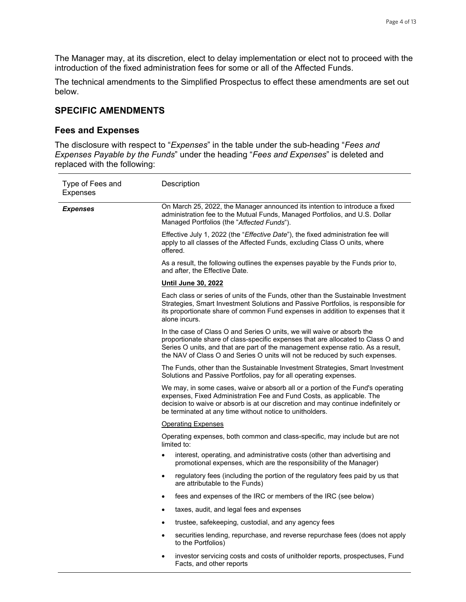The Manager may, at its discretion, elect to delay implementation or elect not to proceed with the introduction of the fixed administration fees for some or all of the Affected Funds.

The technical amendments to the Simplified Prospectus to effect these amendments are set out below.

### **SPECIFIC AMENDMENTS**

### **Fees and Expenses**

The disclosure with respect to "*Expenses*" in the table under the sub-heading "*Fees and Expenses Payable by the Funds*" under the heading "*Fees and Expenses*" is deleted and replaced with the following:

| Type of Fees and<br><b>Expenses</b> | Description                                                                                                                                                                                                                                                                                                                  |
|-------------------------------------|------------------------------------------------------------------------------------------------------------------------------------------------------------------------------------------------------------------------------------------------------------------------------------------------------------------------------|
| <b>Expenses</b>                     | On March 25, 2022, the Manager announced its intention to introduce a fixed<br>administration fee to the Mutual Funds, Managed Portfolios, and U.S. Dollar<br>Managed Portfolios (the "Affected Funds").                                                                                                                     |
|                                     | Effective July 1, 2022 (the "Effective Date"), the fixed administration fee will<br>apply to all classes of the Affected Funds, excluding Class O units, where<br>offered.                                                                                                                                                   |
|                                     | As a result, the following outlines the expenses payable by the Funds prior to,<br>and after, the Effective Date.                                                                                                                                                                                                            |
|                                     | <u>Until June 30, 2022</u>                                                                                                                                                                                                                                                                                                   |
|                                     | Each class or series of units of the Funds, other than the Sustainable Investment<br>Strategies, Smart Investment Solutions and Passive Portfolios, is responsible for<br>its proportionate share of common Fund expenses in addition to expenses that it<br>alone incurs.                                                   |
|                                     | In the case of Class O and Series O units, we will waive or absorb the<br>proportionate share of class-specific expenses that are allocated to Class O and<br>Series O units, and that are part of the management expense ratio. As a result,<br>the NAV of Class O and Series O units will not be reduced by such expenses. |
|                                     | The Funds, other than the Sustainable Investment Strategies, Smart Investment<br>Solutions and Passive Portfolios, pay for all operating expenses.                                                                                                                                                                           |
|                                     | We may, in some cases, waive or absorb all or a portion of the Fund's operating<br>expenses, Fixed Administration Fee and Fund Costs, as applicable. The<br>decision to waive or absorb is at our discretion and may continue indefinitely or<br>be terminated at any time without notice to unitholders.                    |
|                                     | <b>Operating Expenses</b>                                                                                                                                                                                                                                                                                                    |
|                                     | Operating expenses, both common and class-specific, may include but are not<br>limited to:                                                                                                                                                                                                                                   |
|                                     | interest, operating, and administrative costs (other than advertising and<br>promotional expenses, which are the responsibility of the Manager)                                                                                                                                                                              |
|                                     | regulatory fees (including the portion of the regulatory fees paid by us that<br>$\bullet$<br>are attributable to the Funds)                                                                                                                                                                                                 |
|                                     | fees and expenses of the IRC or members of the IRC (see below)<br>$\bullet$                                                                                                                                                                                                                                                  |
|                                     | taxes, audit, and legal fees and expenses<br>$\bullet$                                                                                                                                                                                                                                                                       |
|                                     | trustee, safekeeping, custodial, and any agency fees<br>$\bullet$                                                                                                                                                                                                                                                            |
|                                     | securities lending, repurchase, and reverse repurchase fees (does not apply<br>$\bullet$<br>to the Portfolios)                                                                                                                                                                                                               |
|                                     | investor servicing costs and costs of unitholder reports, prospectuses, Fund<br>$\bullet$<br>Facts, and other reports                                                                                                                                                                                                        |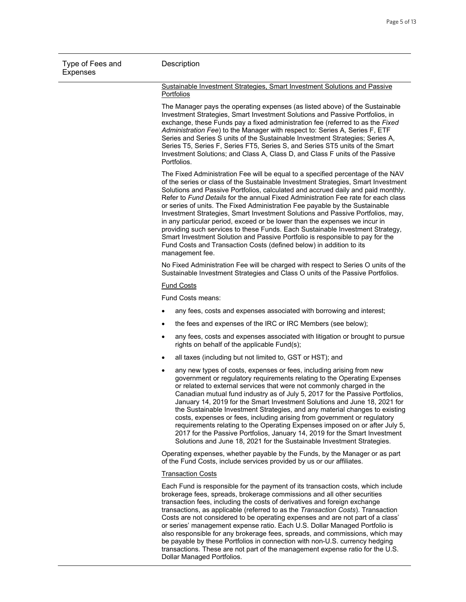| Type of Fees and<br><b>Expenses</b> | Description                                                                                                                                                                                                                                                                                                                                                                                                                                                                                                                                                                                                                                                                                                                                                                                                                                              |  |
|-------------------------------------|----------------------------------------------------------------------------------------------------------------------------------------------------------------------------------------------------------------------------------------------------------------------------------------------------------------------------------------------------------------------------------------------------------------------------------------------------------------------------------------------------------------------------------------------------------------------------------------------------------------------------------------------------------------------------------------------------------------------------------------------------------------------------------------------------------------------------------------------------------|--|
|                                     | Sustainable Investment Strategies, Smart Investment Solutions and Passive<br>Portfolios                                                                                                                                                                                                                                                                                                                                                                                                                                                                                                                                                                                                                                                                                                                                                                  |  |
|                                     | The Manager pays the operating expenses (as listed above) of the Sustainable<br>Investment Strategies, Smart Investment Solutions and Passive Portfolios, in<br>exchange, these Funds pay a fixed administration fee (referred to as the Fixed<br>Administration Fee) to the Manager with respect to: Series A, Series F, ETF<br>Series and Series S units of the Sustainable Investment Strategies; Series A,<br>Series T5, Series F, Series FT5, Series S, and Series ST5 units of the Smart<br>Investment Solutions; and Class A, Class D, and Class F units of the Passive<br>Portfolios.                                                                                                                                                                                                                                                            |  |
|                                     | The Fixed Administration Fee will be equal to a specified percentage of the NAV<br>of the series or class of the Sustainable Investment Strategies, Smart Investment<br>Solutions and Passive Portfolios, calculated and accrued daily and paid monthly.<br>Refer to Fund Details for the annual Fixed Administration Fee rate for each class<br>or series of units. The Fixed Administration Fee payable by the Sustainable<br>Investment Strategies, Smart Investment Solutions and Passive Portfolios, may,<br>in any particular period, exceed or be lower than the expenses we incur in<br>providing such services to these Funds. Each Sustainable Investment Strategy,<br>Smart Investment Solution and Passive Portfolio is responsible to pay for the<br>Fund Costs and Transaction Costs (defined below) in addition to its<br>management fee. |  |
|                                     | No Fixed Administration Fee will be charged with respect to Series O units of the<br>Sustainable Investment Strategies and Class O units of the Passive Portfolios.                                                                                                                                                                                                                                                                                                                                                                                                                                                                                                                                                                                                                                                                                      |  |
|                                     | <b>Fund Costs</b>                                                                                                                                                                                                                                                                                                                                                                                                                                                                                                                                                                                                                                                                                                                                                                                                                                        |  |
|                                     | Fund Costs means:                                                                                                                                                                                                                                                                                                                                                                                                                                                                                                                                                                                                                                                                                                                                                                                                                                        |  |
|                                     | any fees, costs and expenses associated with borrowing and interest;<br>$\bullet$                                                                                                                                                                                                                                                                                                                                                                                                                                                                                                                                                                                                                                                                                                                                                                        |  |
|                                     | the fees and expenses of the IRC or IRC Members (see below);<br>$\bullet$                                                                                                                                                                                                                                                                                                                                                                                                                                                                                                                                                                                                                                                                                                                                                                                |  |
|                                     | any fees, costs and expenses associated with litigation or brought to pursue<br>$\bullet$<br>rights on behalf of the applicable Fund(s);                                                                                                                                                                                                                                                                                                                                                                                                                                                                                                                                                                                                                                                                                                                 |  |
|                                     | all taxes (including but not limited to, GST or HST); and<br>$\bullet$                                                                                                                                                                                                                                                                                                                                                                                                                                                                                                                                                                                                                                                                                                                                                                                   |  |
|                                     | any new types of costs, expenses or fees, including arising from new<br>$\bullet$<br>government or regulatory requirements relating to the Operating Expenses<br>or related to external services that were not commonly charged in the<br>Canadian mutual fund industry as of July 5, 2017 for the Passive Portfolios,<br>January 14, 2019 for the Smart Investment Solutions and June 18, 2021 for<br>the Sustainable Investment Strategies, and any material changes to existing<br>costs, expenses or fees, including arising from government or regulatory<br>requirements relating to the Operating Expenses imposed on or after July 5,<br>2017 for the Passive Portfolios, January 14, 2019 for the Smart Investment<br>Solutions and June 18, 2021 for the Sustainable Investment Strategies.                                                    |  |
|                                     | Operating expenses, whether payable by the Funds, by the Manager or as part<br>of the Fund Costs, include services provided by us or our affiliates.                                                                                                                                                                                                                                                                                                                                                                                                                                                                                                                                                                                                                                                                                                     |  |
|                                     | <b>Transaction Costs</b>                                                                                                                                                                                                                                                                                                                                                                                                                                                                                                                                                                                                                                                                                                                                                                                                                                 |  |
|                                     | Each Fund is responsible for the payment of its transaction costs, which include<br>brokerage fees, spreads, brokerage commissions and all other securities<br>transaction fees, including the costs of derivatives and foreign exchange<br>transactions, as applicable (referred to as the Transaction Costs). Transaction<br>Costs are not considered to be operating expenses and are not part of a class'<br>or series' management expense ratio. Each U.S. Dollar Managed Portfolio is<br>also responsible for any brokerage fees, spreads, and commissions, which may                                                                                                                                                                                                                                                                              |  |

be payable by these Portfolios in connection with non-U.S. currency hedging transactions. These are not part of the management expense ratio for the U.S.

Dollar Managed Portfolios.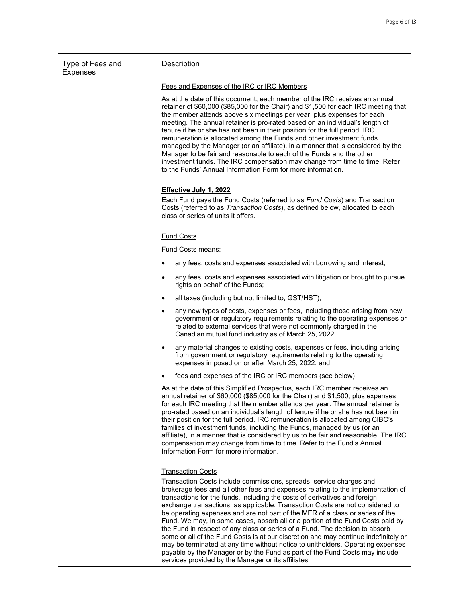| Type of Fees and<br><b>Expenses</b> | Description                                                                                                                                                                                                                                                                                                                                                                                                                                                                                                                                                                                                                                                                                                                                                                                |
|-------------------------------------|--------------------------------------------------------------------------------------------------------------------------------------------------------------------------------------------------------------------------------------------------------------------------------------------------------------------------------------------------------------------------------------------------------------------------------------------------------------------------------------------------------------------------------------------------------------------------------------------------------------------------------------------------------------------------------------------------------------------------------------------------------------------------------------------|
|                                     | Fees and Expenses of the IRC or IRC Members                                                                                                                                                                                                                                                                                                                                                                                                                                                                                                                                                                                                                                                                                                                                                |
|                                     | As at the date of this document, each member of the IRC receives an annual<br>retainer of \$60,000 (\$85,000 for the Chair) and \$1,500 for each IRC meeting that<br>the member attends above six meetings per year, plus expenses for each<br>meeting. The annual retainer is pro-rated based on an individual's length of<br>tenure if he or she has not been in their position for the full period. IRC<br>remuneration is allocated among the Funds and other investment funds<br>managed by the Manager (or an affiliate), in a manner that is considered by the<br>Manager to be fair and reasonable to each of the Funds and the other<br>investment funds. The IRC compensation may change from time to time. Refer<br>to the Funds' Annual Information Form for more information. |
|                                     | Effective July 1, 2022<br>Each Fund pays the Fund Costs (referred to as Fund Costs) and Transaction<br>Costs (referred to as Transaction Costs), as defined below, allocated to each<br>class or series of units it offers.                                                                                                                                                                                                                                                                                                                                                                                                                                                                                                                                                                |
|                                     | <b>Fund Costs</b>                                                                                                                                                                                                                                                                                                                                                                                                                                                                                                                                                                                                                                                                                                                                                                          |
|                                     | Fund Costs means:                                                                                                                                                                                                                                                                                                                                                                                                                                                                                                                                                                                                                                                                                                                                                                          |
|                                     | any fees, costs and expenses associated with borrowing and interest;<br>$\bullet$                                                                                                                                                                                                                                                                                                                                                                                                                                                                                                                                                                                                                                                                                                          |
|                                     | any fees, costs and expenses associated with litigation or brought to pursue<br>$\bullet$<br>rights on behalf of the Funds;                                                                                                                                                                                                                                                                                                                                                                                                                                                                                                                                                                                                                                                                |
|                                     | all taxes (including but not limited to, GST/HST);<br>$\bullet$                                                                                                                                                                                                                                                                                                                                                                                                                                                                                                                                                                                                                                                                                                                            |
|                                     | any new types of costs, expenses or fees, including those arising from new<br>government or regulatory requirements relating to the operating expenses or<br>related to external services that were not commonly charged in the<br>Canadian mutual fund industry as of March 25, 2022;                                                                                                                                                                                                                                                                                                                                                                                                                                                                                                     |
|                                     | any material changes to existing costs, expenses or fees, including arising<br>from government or regulatory requirements relating to the operating<br>expenses imposed on or after March 25, 2022; and                                                                                                                                                                                                                                                                                                                                                                                                                                                                                                                                                                                    |
|                                     | fees and expenses of the IRC or IRC members (see below)                                                                                                                                                                                                                                                                                                                                                                                                                                                                                                                                                                                                                                                                                                                                    |
|                                     | As at the date of this Simplified Prospectus, each IRC member receives an<br>annual retainer of \$60,000 (\$85,000 for the Chair) and \$1,500, plus expenses,<br>for each IRC meeting that the member attends per year. The annual retainer is<br>pro-rated based on an individual's length of tenure if he or she has not been in<br>their position for the full period. IRC remuneration is allocated among CIBC's<br>families of investment funds, including the Funds, managed by us (or an<br>affiliate), in a manner that is considered by us to be fair and reasonable. The IRC<br>compensation may change from time to time. Refer to the Fund's Annual<br>Information Form for more information.                                                                                  |
|                                     | <b>Transaction Costs</b>                                                                                                                                                                                                                                                                                                                                                                                                                                                                                                                                                                                                                                                                                                                                                                   |
|                                     | Transaction Costs include commissions, spreads, service charges and<br>brokerage fees and all other fees and expenses relating to the implementation of<br>transactions for the funds, including the costs of derivatives and foreign<br>exchange transactions, as applicable. Transaction Costs are not considered to<br>be operating expenses and are not part of the MER of a class or series of the<br>Fund. We may, in some cases, absorb all or a portion of the Fund Costs paid by                                                                                                                                                                                                                                                                                                  |

the Fund in respect of any class or series of a Fund. The decision to absorb some or all of the Fund Costs is at our discretion and may continue indefinitely or may be terminated at any time without notice to unitholders. Operating expenses payable by the Manager or by the Fund as part of the Fund Costs may include services provided by the Manager or its affiliates.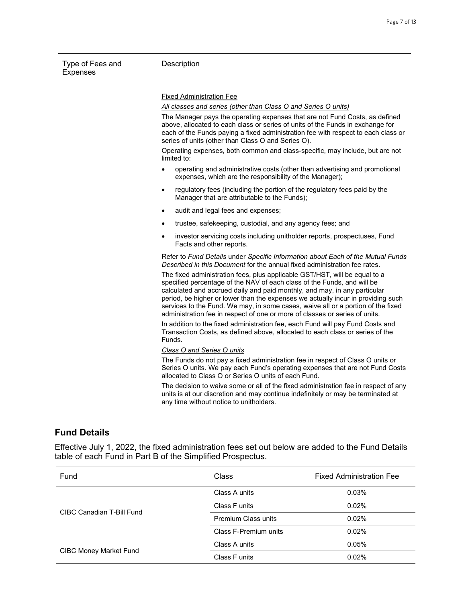#### **Description**

#### Fixed Administration Fee

*All classes and series (other than Class O and Series O units)*

The Manager pays the operating expenses that are not Fund Costs, as defined above, allocated to each class or series of units of the Funds in exchange for each of the Funds paying a fixed administration fee with respect to each class or series of units (other than Class O and Series O).

Operating expenses, both common and class-specific, may include, but are not limited to:

- operating and administrative costs (other than advertising and promotional expenses, which are the responsibility of the Manager);
- regulatory fees (including the portion of the regulatory fees paid by the Manager that are attributable to the Funds);
- audit and legal fees and expenses;
- trustee, safekeeping, custodial, and any agency fees; and
- investor servicing costs including unitholder reports, prospectuses, Fund Facts and other reports.

Refer to *Fund Details* under *Specific Information about Each of the Mutual Funds Described in this Document* for the annual fixed administration fee rates.

The fixed administration fees, plus applicable GST/HST, will be equal to a specified percentage of the NAV of each class of the Funds, and will be calculated and accrued daily and paid monthly, and may, in any particular period, be higher or lower than the expenses we actually incur in providing such services to the Fund. We may, in some cases, waive all or a portion of the fixed administration fee in respect of one or more of classes or series of units.

In addition to the fixed administration fee, each Fund will pay Fund Costs and Transaction Costs, as defined above, allocated to each class or series of the Funds.

*Class O and Series O units*

The Funds do not pay a fixed administration fee in respect of Class O units or Series O units. We pay each Fund's operating expenses that are not Fund Costs allocated to Class O or Series O units of each Fund.

The decision to waive some or all of the fixed administration fee in respect of any units is at our discretion and may continue indefinitely or may be terminated at any time without notice to unitholders.

#### **Fund Details**

Effective July 1, 2022, the fixed administration fees set out below are added to the Fund Details table of each Fund in Part B of the Simplified Prospectus.

| Fund                          | Class                      | <b>Fixed Administration Fee</b> |
|-------------------------------|----------------------------|---------------------------------|
| CIBC Canadian T-Bill Fund     | Class A units              | 0.03%                           |
|                               | Class F units              | 0.02%                           |
|                               | <b>Premium Class units</b> | 0.02%                           |
|                               | Class F-Premium units      | $0.02\%$                        |
| <b>CIBC Money Market Fund</b> | Class A units              | 0.05%                           |
|                               | Class F units              | 0.02%                           |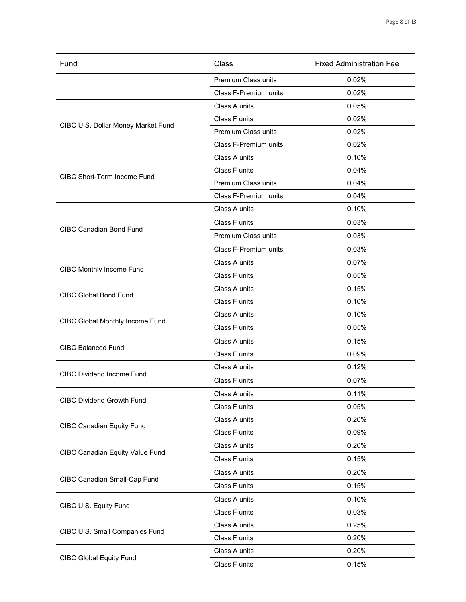| Fund                               | Class                        | <b>Fixed Administration Fee</b> |
|------------------------------------|------------------------------|---------------------------------|
|                                    | Premium Class units          | 0.02%                           |
|                                    | Class F-Premium units        | 0.02%                           |
|                                    | Class A units                | 0.05%                           |
|                                    | Class F units                | 0.02%                           |
| CIBC U.S. Dollar Money Market Fund | Premium Class units          | 0.02%                           |
|                                    | <b>Class F-Premium units</b> | 0.02%                           |
|                                    | Class A units                | 0.10%                           |
| <b>CIBC Short-Term Income Fund</b> | Class F units                | 0.04%                           |
|                                    | Premium Class units          | 0.04%                           |
|                                    | Class F-Premium units        | 0.04%                           |
|                                    | Class A units                | 0.10%                           |
|                                    | Class F units                | 0.03%                           |
| <b>CIBC Canadian Bond Fund</b>     | Premium Class units          | 0.03%                           |
|                                    | Class F-Premium units        | 0.03%                           |
|                                    | Class A units                | 0.07%                           |
| <b>CIBC Monthly Income Fund</b>    | Class F units                | 0.05%                           |
|                                    | Class A units                | 0.15%                           |
| <b>CIBC Global Bond Fund</b>       | Class F units                | 0.10%                           |
|                                    | Class A units                | 0.10%                           |
| CIBC Global Monthly Income Fund    | Class F units                | 0.05%                           |
|                                    | Class A units                | 0.15%                           |
| <b>CIBC Balanced Fund</b>          | Class F units                | 0.09%                           |
|                                    | Class A units                | 0.12%                           |
| <b>CIBC Dividend Income Fund</b>   | Class F units                | 0.07%                           |
| <b>CIBC Dividend Growth Fund</b>   | Class A units                | 0.11%                           |
|                                    | Class F units                | 0.05%                           |
|                                    | Class A units                | 0.20%                           |
| <b>CIBC Canadian Equity Fund</b>   | Class F units                | 0.09%                           |
|                                    | Class A units                | 0.20%                           |
| CIBC Canadian Equity Value Fund    | Class F units                | 0.15%                           |
|                                    | Class A units                | 0.20%                           |
| CIBC Canadian Small-Cap Fund       | Class F units                | 0.15%                           |
|                                    | Class A units                | 0.10%                           |
| CIBC U.S. Equity Fund              | Class F units                | 0.03%                           |
|                                    | Class A units                | 0.25%                           |
| CIBC U.S. Small Companies Fund     | Class F units                | 0.20%                           |
|                                    | Class A units                | 0.20%                           |
| <b>CIBC Global Equity Fund</b>     | Class F units                | 0.15%                           |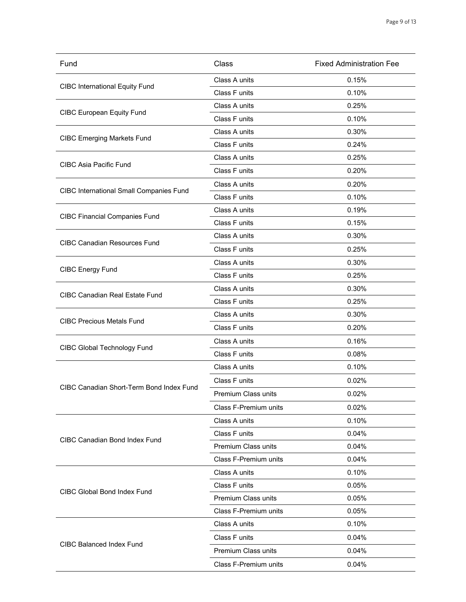| Fund                                           | Class                      | <b>Fixed Administration Fee</b> |
|------------------------------------------------|----------------------------|---------------------------------|
| <b>CIBC International Equity Fund</b>          | Class A units              | 0.15%                           |
|                                                | Class F units              | 0.10%                           |
| <b>CIBC European Equity Fund</b>               | Class A units              | 0.25%                           |
|                                                | Class F units              | 0.10%                           |
|                                                | Class A units              | 0.30%                           |
| <b>CIBC Emerging Markets Fund</b>              | Class F units              | 0.24%                           |
|                                                | Class A units              | 0.25%                           |
| <b>CIBC Asia Pacific Fund</b>                  | Class F units              | 0.20%                           |
|                                                | Class A units              | 0.20%                           |
| <b>CIBC International Small Companies Fund</b> | Class F units              | 0.10%                           |
|                                                | Class A units              | 0.19%                           |
| <b>CIBC Financial Companies Fund</b>           | Class F units              | 0.15%                           |
|                                                | Class A units              | 0.30%                           |
| <b>CIBC Canadian Resources Fund</b>            | Class F units              | 0.25%                           |
|                                                | Class A units              | 0.30%                           |
| <b>CIBC Energy Fund</b>                        | Class F units              | 0.25%                           |
|                                                | Class A units              | 0.30%                           |
| <b>CIBC Canadian Real Estate Fund</b>          | Class F units              | 0.25%                           |
|                                                | Class A units              | 0.30%                           |
| <b>CIBC Precious Metals Fund</b>               | Class F units              | 0.20%                           |
|                                                | Class A units              | 0.16%                           |
| <b>CIBC Global Technology Fund</b>             | Class F units              | 0.08%                           |
|                                                | Class A units              | 0.10%                           |
|                                                | Class F units              | 0.02%                           |
| CIBC Canadian Short-Term Bond Index Fund       | Premium Class units        | 0.02%                           |
|                                                | Class F-Premium units      | 0.02%                           |
|                                                | Class A units              | 0.10%                           |
|                                                | Class F units              | 0.04%                           |
| <b>CIBC Canadian Bond Index Fund</b>           | <b>Premium Class units</b> | 0.04%                           |
|                                                | Class F-Premium units      | 0.04%                           |
|                                                | Class A units              | 0.10%                           |
| <b>CIBC Global Bond Index Fund</b>             | Class F units              | 0.05%                           |
|                                                | Premium Class units        | 0.05%                           |
|                                                | Class F-Premium units      | 0.05%                           |
|                                                | Class A units              | 0.10%                           |
| <b>CIBC Balanced Index Fund</b>                | Class F units              | 0.04%                           |
|                                                | Premium Class units        | 0.04%                           |
|                                                | Class F-Premium units      | 0.04%                           |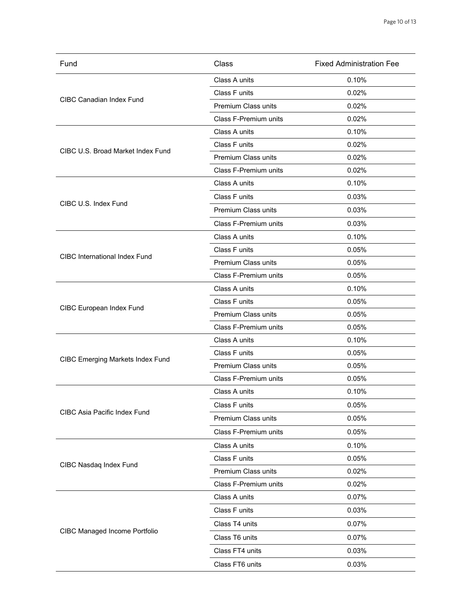| Fund                                    | Class                        | <b>Fixed Administration Fee</b> |
|-----------------------------------------|------------------------------|---------------------------------|
| <b>CIBC Canadian Index Fund</b>         | Class A units                | 0.10%                           |
|                                         | Class F units                | 0.02%                           |
|                                         | Premium Class units          | 0.02%                           |
|                                         | Class F-Premium units        | 0.02%                           |
|                                         | Class A units                | 0.10%                           |
|                                         | Class F units                | 0.02%                           |
| CIBC U.S. Broad Market Index Fund       | <b>Premium Class units</b>   | 0.02%                           |
|                                         | <b>Class F-Premium units</b> | 0.02%                           |
|                                         | Class A units                | 0.10%                           |
|                                         | Class F units                | 0.03%                           |
| CIBC U.S. Index Fund                    | Premium Class units          | 0.03%                           |
|                                         | Class F-Premium units        | 0.03%                           |
|                                         | Class A units                | 0.10%                           |
|                                         | Class F units                | 0.05%                           |
| <b>CIBC</b> International Index Fund    | Premium Class units          | 0.05%                           |
|                                         | Class F-Premium units        | 0.05%                           |
|                                         | Class A units                | 0.10%                           |
|                                         | Class F units                | 0.05%                           |
| CIBC European Index Fund                | Premium Class units          | 0.05%                           |
|                                         | Class F-Premium units        | 0.05%                           |
|                                         | Class A units                | 0.10%                           |
|                                         | Class F units                | 0.05%                           |
| <b>CIBC Emerging Markets Index Fund</b> | <b>Premium Class units</b>   | 0.05%                           |
|                                         | Class F-Premium units        | 0.05%                           |
|                                         | Class A units                | 0.10%                           |
|                                         | Class F units                | 0.05%                           |
| CIBC Asia Pacific Index Fund            | Premium Class units          | 0.05%                           |
|                                         | Class F-Premium units        | 0.05%                           |
|                                         | Class A units                | 0.10%                           |
|                                         | Class F units                | 0.05%                           |
| CIBC Nasdaq Index Fund                  | Premium Class units          | 0.02%                           |
|                                         | Class F-Premium units        | 0.02%                           |
|                                         | Class A units                | 0.07%                           |
|                                         | Class F units                | 0.03%                           |
|                                         | Class T4 units               | 0.07%                           |
| <b>CIBC Managed Income Portfolio</b>    | Class T6 units               | 0.07%                           |
|                                         | Class FT4 units              | 0.03%                           |
|                                         | Class FT6 units              | 0.03%                           |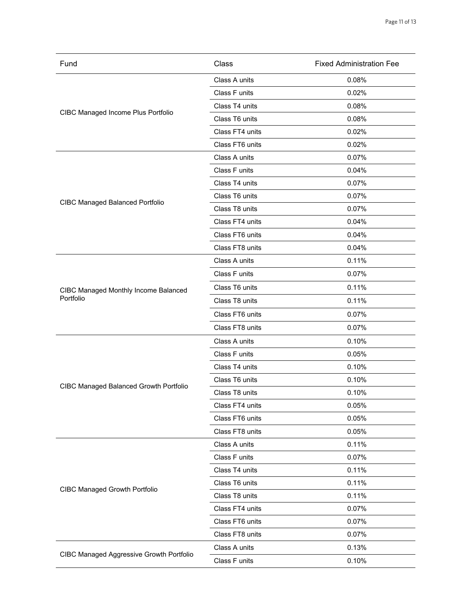| Fund                                          | Class           | <b>Fixed Administration Fee</b> |
|-----------------------------------------------|-----------------|---------------------------------|
| CIBC Managed Income Plus Portfolio            | Class A units   | 0.08%                           |
|                                               | Class F units   | 0.02%                           |
|                                               | Class T4 units  | 0.08%                           |
|                                               | Class T6 units  | 0.08%                           |
|                                               | Class FT4 units | 0.02%                           |
|                                               | Class FT6 units | 0.02%                           |
|                                               | Class A units   | 0.07%                           |
|                                               | Class F units   | 0.04%                           |
|                                               | Class T4 units  | 0.07%                           |
|                                               | Class T6 units  | 0.07%                           |
| <b>CIBC Managed Balanced Portfolio</b>        | Class T8 units  | 0.07%                           |
|                                               | Class FT4 units | 0.04%                           |
|                                               | Class FT6 units | 0.04%                           |
|                                               | Class FT8 units | 0.04%                           |
|                                               | Class A units   | 0.11%                           |
|                                               | Class F units   | 0.07%                           |
| CIBC Managed Monthly Income Balanced          | Class T6 units  | 0.11%                           |
| Portfolio                                     | Class T8 units  | 0.11%                           |
|                                               | Class FT6 units | 0.07%                           |
|                                               | Class FT8 units | 0.07%                           |
|                                               | Class A units   | 0.10%                           |
|                                               | Class F units   | 0.05%                           |
|                                               | Class T4 units  | 0.10%                           |
|                                               | Class T6 units  | 0.10%                           |
| <b>CIBC Managed Balanced Growth Portfolio</b> | Class T8 units  | 0.10%                           |
|                                               | Class FT4 units | 0.05%                           |
|                                               | Class FT6 units | 0.05%                           |
|                                               | Class FT8 units | 0.05%                           |
|                                               | Class A units   | 0.11%                           |
|                                               | Class F units   | 0.07%                           |
|                                               | Class T4 units  | 0.11%                           |
|                                               | Class T6 units  | 0.11%                           |
| <b>CIBC Managed Growth Portfolio</b>          | Class T8 units  | 0.11%                           |
|                                               | Class FT4 units | 0.07%                           |
|                                               | Class FT6 units | 0.07%                           |
|                                               | Class FT8 units | 0.07%                           |
|                                               | Class A units   | 0.13%                           |
| CIBC Managed Aggressive Growth Portfolio      | Class F units   | 0.10%                           |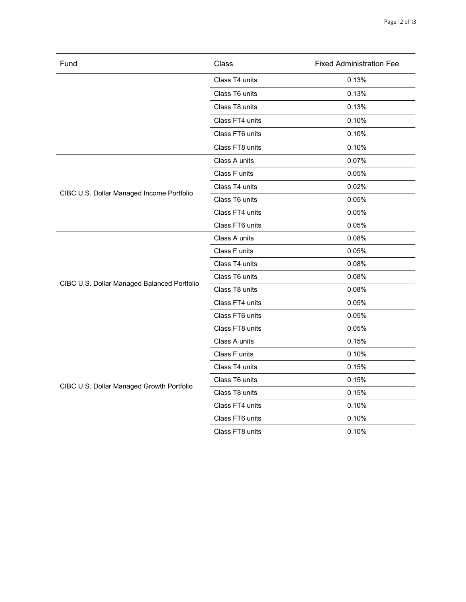| Fund                                        | Class           | <b>Fixed Administration Fee</b> |
|---------------------------------------------|-----------------|---------------------------------|
|                                             | Class T4 units  | 0.13%                           |
|                                             | Class T6 units  | 0.13%                           |
|                                             | Class T8 units  | 0.13%                           |
|                                             | Class FT4 units | 0.10%                           |
|                                             | Class FT6 units | 0.10%                           |
|                                             | Class FT8 units | 0.10%                           |
|                                             | Class A units   | 0.07%                           |
|                                             | Class F units   | 0.05%                           |
|                                             | Class T4 units  | 0.02%                           |
| CIBC U.S. Dollar Managed Income Portfolio   | Class T6 units  | 0.05%                           |
|                                             | Class FT4 units | 0.05%                           |
|                                             | Class FT6 units | 0.05%                           |
|                                             | Class A units   | 0.08%                           |
|                                             | Class F units   | 0.05%                           |
|                                             | Class T4 units  | 0.08%                           |
|                                             | Class T6 units  | 0.08%                           |
| CIBC U.S. Dollar Managed Balanced Portfolio | Class T8 units  | 0.08%                           |
|                                             | Class FT4 units | 0.05%                           |
|                                             | Class FT6 units | 0.05%                           |
|                                             | Class FT8 units | 0.05%                           |
|                                             | Class A units   | 0.15%                           |
|                                             | Class F units   | 0.10%                           |
|                                             | Class T4 units  | 0.15%                           |
| CIBC U.S. Dollar Managed Growth Portfolio   | Class T6 units  | 0.15%                           |
|                                             | Class T8 units  | 0.15%                           |
|                                             | Class FT4 units | 0.10%                           |
|                                             | Class FT6 units | 0.10%                           |
|                                             | Class FT8 units | 0.10%                           |